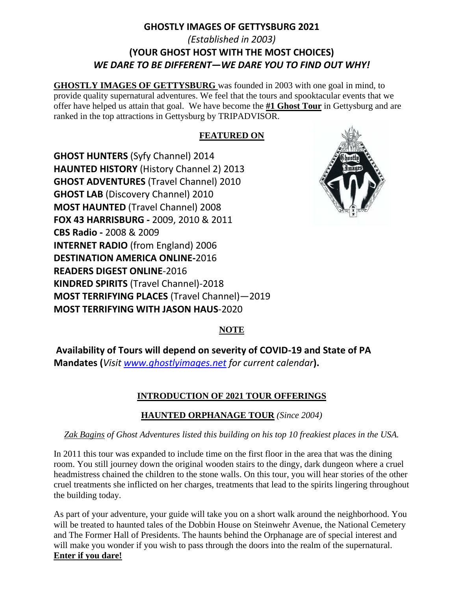## **GHOSTLY IMAGES OF GETTYSBURG 2021** *(Established in 2003)* **(YOUR GHOST HOST WITH THE MOST CHOICES)** *WE DARE TO BE DIFFERENT—WE DARE YOU TO FIND OUT WHY!*

**GHOSTLY IMAGES OF GETTYSBURG** was founded in 2003 with one goal in mind, to provide quality supernatural adventures. We feel that the tours and spooktacular events that we offer have helped us attain that goal. We have become the **#1 Ghost Tour** in Gettysburg and are ranked in the top attractions in Gettysburg by TRIPADVISOR.

#### **FEATURED ON**

**GHOST HUNTERS** (Syfy Channel) 2014 **HAUNTED HISTORY** (History Channel 2) 2013 **GHOST ADVENTURES** (Travel Channel) 2010 **GHOST LAB** (Discovery Channel) 2010 **MOST HAUNTED** (Travel Channel) 2008 **FOX 43 HARRISBURG -** 2009, 2010 & 2011 **CBS Radio -** 2008 & 2009 **INTERNET RADIO** (from England) 2006 **DESTINATION AMERICA ONLINE-**2016 **READERS DIGEST ONLINE**-2016 **KINDRED SPIRITS** (Travel Channel)-2018 **MOST TERRIFYING PLACES** (Travel Channel)—2019 **MOST TERRIFYING WITH JASON HAUS**-2020



#### **NOTE**

**Availability of Tours will depend on severity of COVID-19 and State of PA Mandates (***Visit [www.ghostlyimages.net](http://www.ghostlyimages.net/) for current calendar***).**

## **INTRODUCTION OF 2021 TOUR OFFERINGS**

#### **HAUNTED ORPHANAGE TOUR** *(Since 2004)*

#### *Zak Bagins of Ghost Adventures listed this building on his top 10 freakiest places in the USA.*

In 2011 this tour was expanded to include time on the first floor in the area that was the dining room. You still journey down the original wooden stairs to the dingy, dark dungeon where a cruel headmistress chained the children to the stone walls. On this tour, you will hear stories of the other cruel treatments she inflicted on her charges, treatments that lead to the spirits lingering throughout the building today.

As part of your adventure, your guide will take you on a short walk around the neighborhood. You will be treated to haunted tales of the Dobbin House on Steinwehr Avenue, the National Cemetery and The Former Hall of Presidents. The haunts behind the Orphanage are of special interest and will make you wonder if you wish to pass through the doors into the realm of the supernatural. **Enter if you dare!**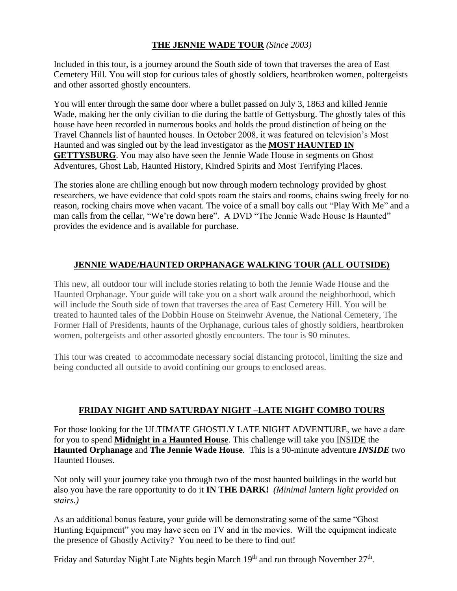#### **THE JENNIE WADE TOUR** *(Since 2003)*

Included in this tour, is a journey around the South side of town that traverses the area of East Cemetery Hill. You will stop for curious tales of ghostly soldiers, heartbroken women, poltergeists and other assorted ghostly encounters.

You will enter through the same door where a bullet passed on July 3, 1863 and killed Jennie Wade, making her the only civilian to die during the battle of Gettysburg. The ghostly tales of this house have been recorded in numerous books and holds the proud distinction of being on the Travel Channels list of haunted houses. In October 2008, it was featured on television's Most Haunted and was singled out by the lead investigator as the **MOST HAUNTED IN GETTYSBURG**. You may also have seen the Jennie Wade House in segments on Ghost Adventures, Ghost Lab, Haunted History, Kindred Spirits and Most Terrifying Places.

The stories alone are chilling enough but now through modern technology provided by ghost researchers, we have evidence that cold spots roam the stairs and rooms, chains swing freely for no reason, rocking chairs move when vacant. The voice of a small boy calls out "Play With Me" and a man calls from the cellar, "We're down here". A DVD "The Jennie Wade House Is Haunted" provides the evidence and is available for purchase.

## **JENNIE WADE/HAUNTED ORPHANAGE WALKING TOUR (ALL OUTSIDE)**

This new, all outdoor tour will include stories relating to both the Jennie Wade House and the Haunted Orphanage. Your guide will take you on a short walk around the neighborhood, which will include the South side of town that traverses the area of East Cemetery Hill. You will be treated to haunted tales of the Dobbin House on Steinwehr Avenue, the National Cemetery, The Former Hall of Presidents, haunts of the Orphanage, curious tales of ghostly soldiers, heartbroken women, poltergeists and other assorted ghostly encounters. The tour is 90 minutes.

This tour was created to accommodate necessary social distancing protocol, limiting the size and being conducted all outside to avoid confining our groups to enclosed areas.

## **FRIDAY NIGHT AND SATURDAY NIGHT –LATE NIGHT COMBO TOURS**

For those looking for the ULTIMATE GHOSTLY LATE NIGHT ADVENTURE, we have a dare for you to spend **Midnight in a Haunted House**. This challenge will take you INSIDE the **Haunted Orphanage** and **The Jennie Wade House***.* This is a 90-minute adventure *INSIDE* two Haunted Houses.

Not only will your journey take you through two of the most haunted buildings in the world but also you have the rare opportunity to do it **IN THE DARK!** *(Minimal lantern light provided on stairs.)*

As an additional bonus feature, your guide will be demonstrating some of the same "Ghost Hunting Equipment" you may have seen on TV and in the movies. Will the equipment indicate the presence of Ghostly Activity? You need to be there to find out!

Friday and Saturday Night Late Nights begin March  $19<sup>th</sup>$  and run through November  $27<sup>th</sup>$ .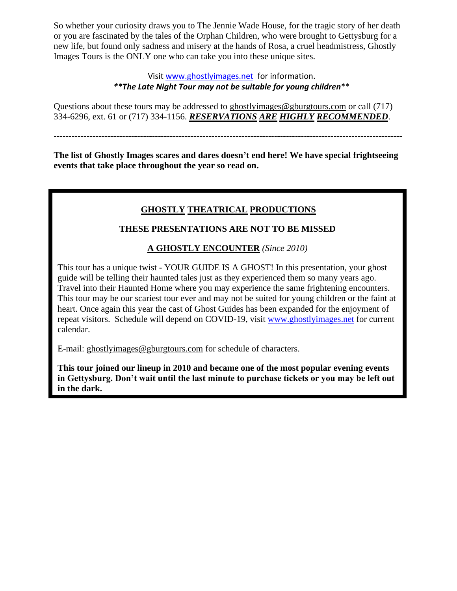So whether your curiosity draws you to The Jennie Wade House, for the tragic story of her death or you are fascinated by the tales of the Orphan Children, who were brought to Gettysburg for a new life, but found only sadness and misery at the hands of Rosa, a cruel headmistress, Ghostly Images Tours is the ONLY one who can take you into these unique sites.

#### Visit [www.ghostlyimages.net](http://www.ghostlyimages.net/) for information. *\*\*The Late Night Tour may not be suitable for young children*\*\*

Questions about these tours may be addressed to ghostlyimages@gburgtours.com or call (717) 334-6296, ext. 61 or (717) 334-1156. *RESERVATIONS ARE HIGHLY RECOMMENDED*.

---------------------------------------------------------------------------------------------------------------------

**The list of Ghostly Images scares and dares doesn't end here! We have special frightseeing events that take place throughout the year so read on.**

## **GHOSTLY THEATRICAL PRODUCTIONS**

#### **THESE PRESENTATIONS ARE NOT TO BE MISSED**

## **A GHOSTLY ENCOUNTER** *(Since 2010)*

This tour has a unique twist - YOUR GUIDE IS A GHOST! In this presentation, your ghost guide will be telling their haunted tales just as they experienced them so many years ago. Travel into their Haunted Home where you may experience the same frightening encounters. This tour may be our scariest tour ever and may not be suited for young children or the faint at heart. Once again this year the cast of Ghost Guides has been expanded for the enjoyment of repeat visitors. Schedule will depend on COVID-19, visit [www.ghostlyimages.net](http://www.ghostlyimages.net/) for current calendar.

E-mail: ghostlyimages@gburgtours.com for schedule of characters.

**This tour joined our lineup in 2010 and became one of the most popular evening events in Gettysburg. Don't wait until the last minute to purchase tickets or you may be left out in the dark.**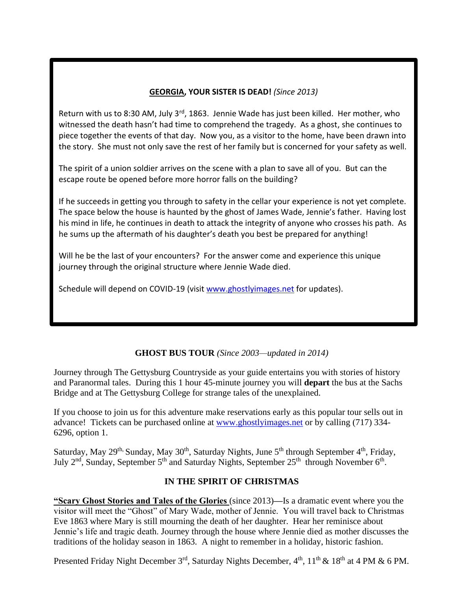### **GEORGIA, YOUR SISTER IS DEAD!** *(Since 2013)*

Return with us to 8:30 AM, July  $3^{rd}$ , 1863. Jennie Wade has just been killed. Her mother, who witnessed the death hasn't had time to comprehend the tragedy. As a ghost, she continues to piece together the events of that day. Now you, as a visitor to the home, have been drawn into the story. She must not only save the rest of her family but is concerned for your safety as well.

The spirit of a union soldier arrives on the scene with a plan to save all of you. But can the escape route be opened before more horror falls on the building?

If he succeeds in getting you through to safety in the cellar your experience is not yet complete. The space below the house is haunted by the ghost of James Wade, Jennie's father. Having lost his mind in life, he continues in death to attack the integrity of anyone who crosses his path. As he sums up the aftermath of his daughter's death you best be prepared for anything!

Will he be the last of your encounters? For the answer come and experience this unique journey through the original structure where Jennie Wade died.

Schedule will depend on COVID-19 (visit [www.ghostlyimages.net](http://www.ghostlyimages.net/) for updates).

#### **GHOST BUS TOUR** *(Since 2003—updated in 2014)*

Journey through The Gettysburg Countryside as your guide entertains you with stories of history and Paranormal tales. During this 1 hour 45-minute journey you will **depart** the bus at the Sachs Bridge and at The Gettysburg College for strange tales of the unexplained.

If you choose to join us for this adventure make reservations early as this popular tour sells out in advance! Tickets can be purchased online at [www.ghostlyimages.net](http://www.ghostlyimages.net/) or by calling (717) 334- 6296, option 1.

Saturday, May 29<sup>th,</sup> Sunday, May 30<sup>th</sup>, Saturday Nights, June 5<sup>th</sup> through September 4<sup>th</sup>, Friday, July  $2<sup>nd</sup>$ , Sunday, September  $5<sup>th</sup>$  and Saturday Nights, September  $25<sup>th</sup>$  through November  $6<sup>th</sup>$ .

#### **IN THE SPIRIT OF CHRISTMAS**

**"Scary Ghost Stories and Tales of the Glories** (since 2013)**—**Is a dramatic event where you the visitor will meet the "Ghost" of Mary Wade, mother of Jennie. You will travel back to Christmas Eve 1863 where Mary is still mourning the death of her daughter. Hear her reminisce about Jennie's life and tragic death. Journey through the house where Jennie died as mother discusses the traditions of the holiday season in 1863. A night to remember in a holiday, historic fashion.

Presented Friday Night December 3<sup>rd</sup>, Saturday Nights December,  $4<sup>th</sup>$ ,  $11<sup>th</sup>$  &  $18<sup>th</sup>$  at 4 PM & 6 PM.